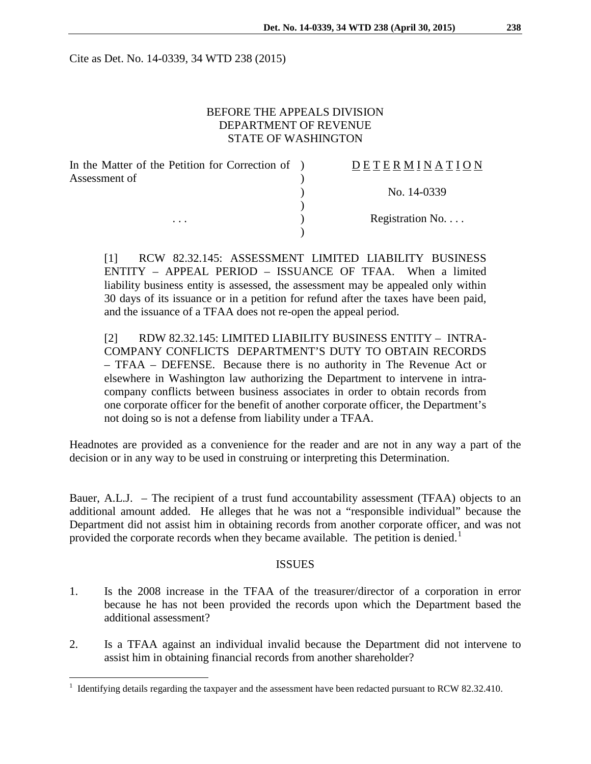Cite as Det. No. 14-0339, 34 WTD 238 (2015)

# BEFORE THE APPEALS DIVISION DEPARTMENT OF REVENUE STATE OF WASHINGTON

| In the Matter of the Petition for Correction of ) | DETERMINATION   |
|---------------------------------------------------|-----------------|
| Assessment of                                     |                 |
|                                                   | No. 14-0339     |
|                                                   |                 |
| $\cdots$                                          | Registration No |
|                                                   |                 |
|                                                   |                 |

[1] RCW 82.32.145: ASSESSMENT LIMITED LIABILITY BUSINESS ENTITY – APPEAL PERIOD – ISSUANCE OF TFAA. When a limited liability business entity is assessed, the assessment may be appealed only within 30 days of its issuance or in a petition for refund after the taxes have been paid, and the issuance of a TFAA does not re-open the appeal period.

[2] RDW 82.32.145: LIMITED LIABILITY BUSINESS ENTITY – INTRA-COMPANY CONFLICTS DEPARTMENT'S DUTY TO OBTAIN RECORDS – TFAA – DEFENSE. Because there is no authority in The Revenue Act or elsewhere in Washington law authorizing the Department to intervene in intracompany conflicts between business associates in order to obtain records from one corporate officer for the benefit of another corporate officer, the Department's not doing so is not a defense from liability under a TFAA.

Headnotes are provided as a convenience for the reader and are not in any way a part of the decision or in any way to be used in construing or interpreting this Determination.

Bauer, A.L.J. – The recipient of a trust fund accountability assessment (TFAA) objects to an additional amount added. He alleges that he was not a "responsible individual" because the Department did not assist him in obtaining records from another corporate officer, and was not provided the corporate records when they became available. The petition is denied.<sup>[1](#page-0-0)</sup>

### ISSUES

- 1. Is the 2008 increase in the TFAA of the treasurer/director of a corporation in error because he has not been provided the records upon which the Department based the additional assessment?
- 2. Is a TFAA against an individual invalid because the Department did not intervene to assist him in obtaining financial records from another shareholder?

<span id="page-0-0"></span><sup>&</sup>lt;sup>1</sup> Identifying details regarding the taxpayer and the assessment have been redacted pursuant to RCW 82.32.410.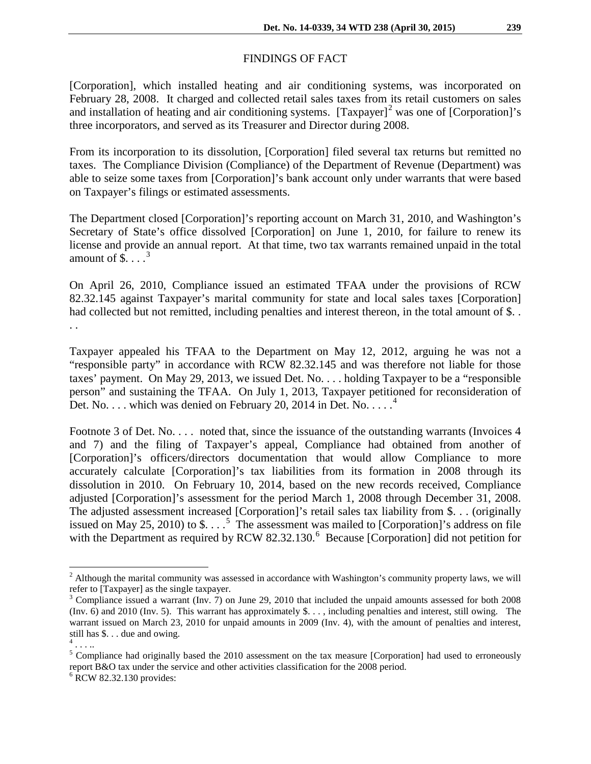## FINDINGS OF FACT

[Corporation], which installed heating and air conditioning systems, was incorporated on February 28, 2008. It charged and collected retail sales taxes from its retail customers on sales and installation of heating and air conditioning systems.  $[Taxpayer]<sup>2</sup>$  $[Taxpayer]<sup>2</sup>$  $[Taxpayer]<sup>2</sup>$  was one of  $[Corporation]<sup>2</sup>$ s three incorporators, and served as its Treasurer and Director during 2008.

From its incorporation to its dissolution, [Corporation] filed several tax returns but remitted no taxes. The Compliance Division (Compliance) of the Department of Revenue (Department) was able to seize some taxes from [Corporation]'s bank account only under warrants that were based on Taxpayer's filings or estimated assessments.

The Department closed [Corporation]'s reporting account on March 31, 2010, and Washington's Secretary of State's office dissolved [Corporation] on June 1, 2010, for failure to renew its license and provide an annual report. At that time, two tax warrants remained unpaid in the total amount of  $\overline{\$}$ ....<sup>[3](#page-1-1)</sup>

On April 26, 2010, Compliance issued an estimated TFAA under the provisions of RCW 82.32.145 against Taxpayer's marital community for state and local sales taxes [Corporation] had collected but not remitted, including penalties and interest thereon, in the total amount of \$... . .

Taxpayer appealed his TFAA to the Department on May 12, 2012, arguing he was not a "responsible party" in accordance with RCW 82.32.145 and was therefore not liable for those taxes' payment. On May 29, 2013, we issued Det. No. . . . holding Taxpayer to be a "responsible person" and sustaining the TFAA. On July 1, 2013, Taxpayer petitioned for reconsideration of Det. No.  $\dots$  which was denied on February 20, 201[4](#page-1-2) in Det. No.  $\dots$ <sup>4</sup>

Footnote 3 of Det. No. . . . noted that, since the issuance of the outstanding warrants (Invoices 4 and 7) and the filing of Taxpayer's appeal, Compliance had obtained from another of [Corporation]'s officers/directors documentation that would allow Compliance to more accurately calculate [Corporation]'s tax liabilities from its formation in 2008 through its dissolution in 2010. On February 10, 2014, based on the new records received, Compliance adjusted [Corporation]'s assessment for the period March 1, 2008 through December 31, 2008. The adjusted assessment increased [Corporation]'s retail sales tax liability from \$. . . (originally issued on May 2[5](#page-1-3), 2010) to  $\$\dots$ <sup>5</sup> The assessment was mailed to [Corporation]'s address on file with the Department as required by RCW  $82.32.130.^6$  $82.32.130.^6$  Because [Corporation] did not petition for

<span id="page-1-0"></span><sup>&</sup>lt;sup>2</sup> Although the marital community was assessed in accordance with Washington's community property laws, we will refer to [Taxpayer] as the single taxpayer.

<span id="page-1-1"></span><sup>&</sup>lt;sup>3</sup> Compliance issued a warrant (Inv. 7) on June 29, 2010 that included the unpaid amounts assessed for both 2008 (Inv. 6) and 2010 (Inv. 5). This warrant has approximately \$. . . , including penalties and interest, still owing. The warrant issued on March 23, 2010 for unpaid amounts in 2009 (Inv. 4), with the amount of penalties and interest, still has \$. . . due and owing.

<span id="page-1-2"></span> $4 \ldots$ 

<span id="page-1-3"></span><sup>&</sup>lt;sup>5</sup> Compliance had originally based the 2010 assessment on the tax measure [Corporation] had used to erroneously report B&O tax under the service and other activities classification for the 2008 period.

<span id="page-1-4"></span> $6$  RCW 82.32.130 provides: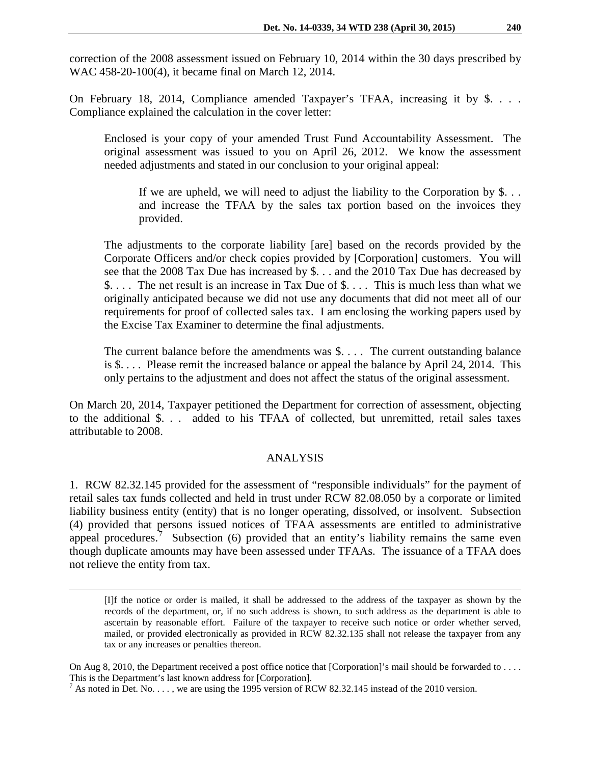correction of the 2008 assessment issued on February 10, 2014 within the 30 days prescribed by WAC 458-20-100(4), it became final on March 12, 2014.

On February 18, 2014, Compliance amended Taxpayer's TFAA, increasing it by \$. . . . Compliance explained the calculation in the cover letter:

Enclosed is your copy of your amended Trust Fund Accountability Assessment. The original assessment was issued to you on April 26, 2012. We know the assessment needed adjustments and stated in our conclusion to your original appeal:

If we are upheld, we will need to adjust the liability to the Corporation by  $\$\ldots\$ and increase the TFAA by the sales tax portion based on the invoices they provided.

The adjustments to the corporate liability [are] based on the records provided by the Corporate Officers and/or check copies provided by [Corporation] customers. You will see that the 2008 Tax Due has increased by \$. . . and the 2010 Tax Due has decreased by \$. . . . The net result is an increase in Tax Due of \$. . . . This is much less than what we originally anticipated because we did not use any documents that did not meet all of our requirements for proof of collected sales tax. I am enclosing the working papers used by the Excise Tax Examiner to determine the final adjustments.

The current balance before the amendments was \$. . . . The current outstanding balance is \$. . . . Please remit the increased balance or appeal the balance by April 24, 2014. This only pertains to the adjustment and does not affect the status of the original assessment.

On March 20, 2014, Taxpayer petitioned the Department for correction of assessment, objecting to the additional \$. . . added to his TFAA of collected, but unremitted, retail sales taxes attributable to 2008.

### ANALYSIS

1. RCW 82.32.145 provided for the assessment of "responsible individuals" for the payment of retail sales tax funds collected and held in trust under RCW 82.08.050 by a corporate or limited liability business entity (entity) that is no longer operating, dissolved, or insolvent. Subsection (4) provided that persons issued notices of TFAA assessments are entitled to administrative appeal procedures.<sup>[7](#page-2-0)</sup> Subsection (6) provided that an entity's liability remains the same even though duplicate amounts may have been assessed under TFAAs. The issuance of a TFAA does not relieve the entity from tax.

<sup>[</sup>I]f the notice or order is mailed, it shall be addressed to the address of the taxpayer as shown by the records of the department, or, if no such address is shown, to such address as the department is able to ascertain by reasonable effort. Failure of the taxpayer to receive such notice or order whether served, mailed, or provided electronically as provided in RCW 82.32.135 shall not release the taxpayer from any tax or any increases or penalties thereon.

On Aug 8, 2010, the Department received a post office notice that [Corporation]'s mail should be forwarded to . . . . This is the Department's last known address for [Corporation].

<span id="page-2-0"></span> $^7$  As noted in Det. No. . . . , we are using the 1995 version of RCW 82.32.145 instead of the 2010 version.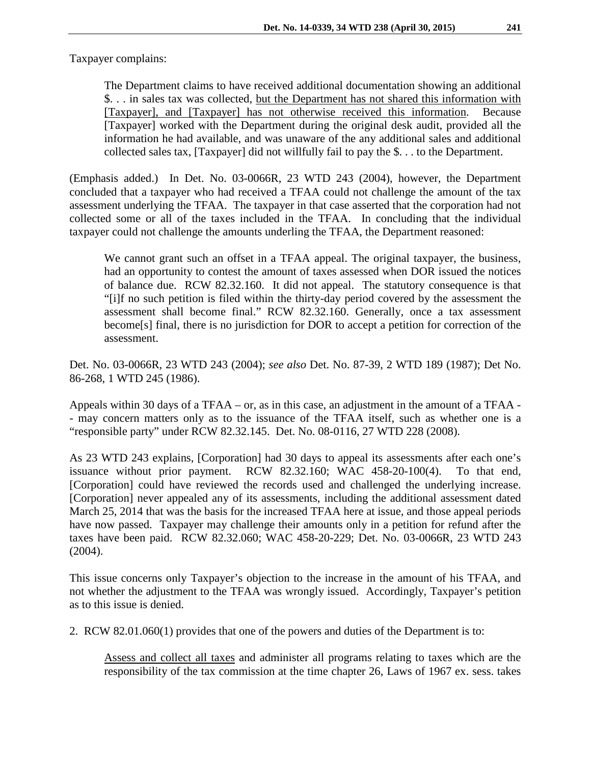Taxpayer complains:

The Department claims to have received additional documentation showing an additional \$. . . in sales tax was collected, but the Department has not shared this information with [Taxpayer], and [Taxpayer] has not otherwise received this information. Because [Taxpayer] worked with the Department during the original desk audit, provided all the information he had available, and was unaware of the any additional sales and additional collected sales tax, [Taxpayer] did not willfully fail to pay the \$. . . to the Department.

(Emphasis added.) In Det. No. 03-0066R, 23 WTD 243 (2004), however, the Department concluded that a taxpayer who had received a TFAA could not challenge the amount of the tax assessment underlying the TFAA. The taxpayer in that case asserted that the corporation had not collected some or all of the taxes included in the TFAA. In concluding that the individual taxpayer could not challenge the amounts underling the TFAA, the Department reasoned:

We cannot grant such an offset in a TFAA appeal. The original taxpayer, the business, had an opportunity to contest the amount of taxes assessed when DOR issued the notices of balance due. RCW 82.32.160. It did not appeal. The statutory consequence is that "[i]f no such petition is filed within the thirty-day period covered by the assessment the assessment shall become final." RCW 82.32.160. Generally, once a tax assessment become[s] final, there is no jurisdiction for DOR to accept a petition for correction of the assessment.

Det. No. 03-0066R, 23 WTD 243 (2004); *see also* Det. No. 87-39, 2 WTD 189 (1987); Det No. 86-268, 1 WTD 245 (1986).

Appeals within 30 days of a TFAA – or, as in this case, an adjustment in the amount of a TFAA - - may concern matters only as to the issuance of the TFAA itself, such as whether one is a "responsible party" under RCW 82.32.145. Det. No. 08-0116, 27 WTD 228 (2008).

As 23 WTD 243 explains, [Corporation] had 30 days to appeal its assessments after each one's issuance without prior payment. RCW 82.32.160; WAC 458-20-100(4). To that end, [Corporation] could have reviewed the records used and challenged the underlying increase. [Corporation] never appealed any of its assessments, including the additional assessment dated March 25, 2014 that was the basis for the increased TFAA here at issue, and those appeal periods have now passed. Taxpayer may challenge their amounts only in a petition for refund after the taxes have been paid. RCW 82.32.060; WAC 458-20-229; Det. No. 03-0066R, 23 WTD 243 (2004).

This issue concerns only Taxpayer's objection to the increase in the amount of his TFAA, and not whether the adjustment to the TFAA was wrongly issued. Accordingly, Taxpayer's petition as to this issue is denied.

2. RCW 82.01.060(1) provides that one of the powers and duties of the Department is to:

Assess and collect all taxes and administer all programs relating to taxes which are the responsibility of the tax commission at the time chapter 26, Laws of 1967 ex. sess. takes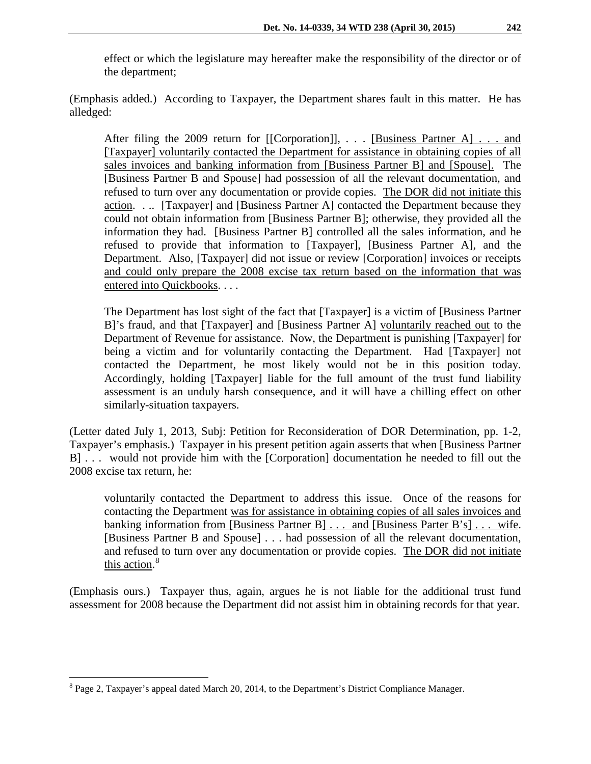effect or which the legislature may hereafter make the responsibility of the director or of the department;

(Emphasis added.) According to Taxpayer, the Department shares fault in this matter. He has alledged:

After filing the 2009 return for [[Corporation]], . . . [Business Partner A] . . . and [Taxpayer] voluntarily contacted the Department for assistance in obtaining copies of all sales invoices and banking information from [Business Partner B] and [Spouse]. The [Business Partner B and Spouse] had possession of all the relevant documentation, and refused to turn over any documentation or provide copies. The DOR did not initiate this action. . .. [Taxpayer] and [Business Partner A] contacted the Department because they could not obtain information from [Business Partner B]; otherwise, they provided all the information they had. [Business Partner B] controlled all the sales information, and he refused to provide that information to [Taxpayer], [Business Partner A], and the Department. Also, [Taxpayer] did not issue or review [Corporation] invoices or receipts and could only prepare the 2008 excise tax return based on the information that was entered into Quickbooks. . . .

The Department has lost sight of the fact that [Taxpayer] is a victim of [Business Partner B]'s fraud, and that [Taxpayer] and [Business Partner A] voluntarily reached out to the Department of Revenue for assistance. Now, the Department is punishing [Taxpayer] for being a victim and for voluntarily contacting the Department. Had [Taxpayer] not contacted the Department, he most likely would not be in this position today. Accordingly, holding [Taxpayer] liable for the full amount of the trust fund liability assessment is an unduly harsh consequence, and it will have a chilling effect on other similarly-situation taxpayers.

(Letter dated July 1, 2013, Subj: Petition for Reconsideration of DOR Determination, pp. 1-2, Taxpayer's emphasis.) Taxpayer in his present petition again asserts that when [Business Partner B] . . . would not provide him with the [Corporation] documentation he needed to fill out the 2008 excise tax return, he:

voluntarily contacted the Department to address this issue. Once of the reasons for contacting the Department was for assistance in obtaining copies of all sales invoices and banking information from [Business Partner B] . . . and [Business Parter B's] . . . wife. [Business Partner B and Spouse] . . . had possession of all the relevant documentation, and refused to turn over any documentation or provide copies. The DOR did not initiate this action.<sup>[8](#page-4-0)</sup>

(Emphasis ours.) Taxpayer thus, again, argues he is not liable for the additional trust fund assessment for 2008 because the Department did not assist him in obtaining records for that year.

<span id="page-4-0"></span><sup>8</sup> Page 2, Taxpayer's appeal dated March 20, 2014, to the Department's District Compliance Manager.